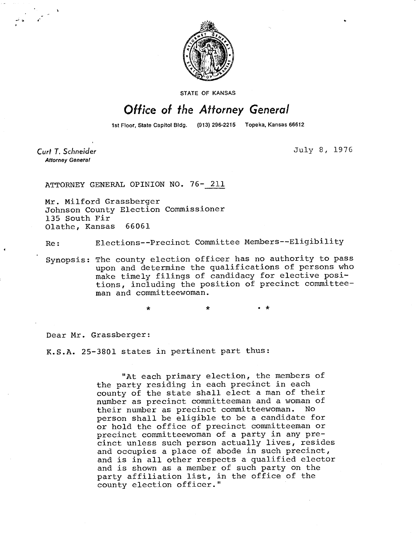

STATE OF KANSAS

## Office of the Attorney General

1st Floor, State Capitol Bldg. (913) 296-2215 Topeka, Kansas 66612

Curt T. Schneider **Attorney General** 

July 8, 1976

ATTORNEY GENERAL OPINION NO. 76- 211

Mr. Milford Grassberger Johnson County Election Commissioner 135 South Fir Olathe, Kansas 66061

Re: Elections--Precinct Committee Members--Eligibility

Synopsis: The county election officer has no authority to pass upon and determine the qualifications of persons who make timely filings of candidacy for elective positions, including the position of precinct committeeman and committeewoman.

Dear Mr. Grassberger:

K.S.A. 25-3801 states in pertinent part thus:

 $\Delta$ 

"At each primary election, the members of the party residing in each precinct in each county of the state shall elect a man of their number as precinct committeeman and a woman of their number as precinct committeewoman. No person shall be eligible to be a candidate for or hold the office of precinct committeeman or precinct committeewoman of a party in any precinct unless such person actually lives, resides and occupies a place of abode in such precinct, and is in all other respects a qualified elector and is shown as a member of such party on the party affiliation list, in the office of the county election officer."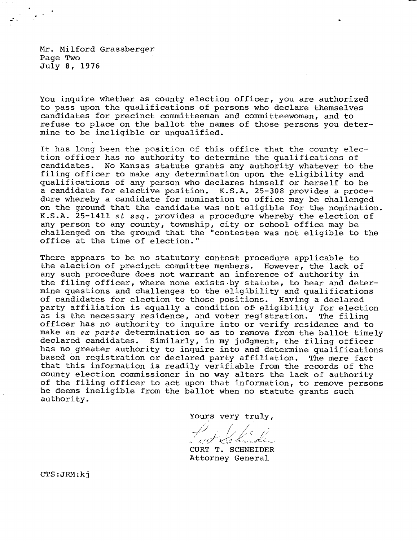Mr. Milford Grassberger Page Two July 8, 1976

You inquire whether as county election officer, you are authorized to pass upon the qualifications of persons who declare themselves candidates for precinct committeeman and committeewoman, and to refuse to place on the ballot the names of those persons you determine to be ineligible or unqualified.

It has long been the position of this office that the county election officer has no authority to determine the qualifications of candidates. No Kansas statute grants any authority whatever to the filing officer to make any determination upon the eligibility and qualifications of any person who declares himself or herself to be a candidate for elective position. K.S.A. 25-308 provides a procedure whereby a candidate for nomination to office may be challenged on the ground that the candidate was not eligible for the nomination. K.S.A. 25-1411 et seq. provides a procedure whereby the election of any person to any county, township, city or school office may be challenged on the ground that the "contestee was not eligible to the office at the time of election."

There appears to be no statutory contest procedure applicable to the election of precinct committee members. However, the lack of any such procedure does not warrant an inference of authority in the filing officer, where none exists by statute, to hear and determine questions and challenges to the eligibility and qualifications of candidates for election to those positions. Having a declared party affiliation is equally a condition of eligibility for election as is the necessary residence, and voter registration. The filing officer has no authority to inquire into or verify residence and to make an ex parte determination so as to remove from the ballot timely declared candidates. Similarly, in my judgment, the filing officer has no greater authority to inquire into and determine qualifications based on registration or declared party affiliation. The mere fact that this information is readily verifiable from the records of the county election commissioner in no way alters the lack of authority of the filing officer to act upon that information, to remove persons he deems ineligible from the ballot when no statute grants such authority.

Yours very truly,

CURT T. SCHNEIDER Attorney General

CTS:JRM:kj